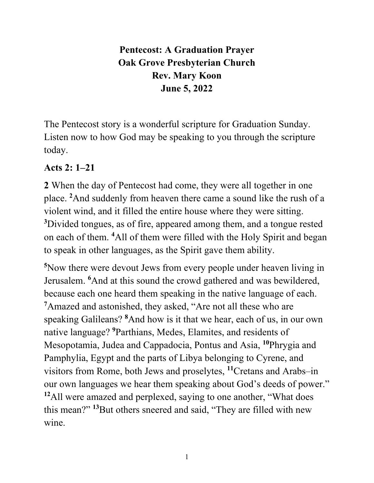# **Pentecost: A Graduation Prayer Oak Grove Presbyterian Church Rev. Mary Koon June 5, 2022**

The Pentecost story is a wonderful scripture for Graduation Sunday. Listen now to how God may be speaking to you through the scripture today.

#### **Acts 2: 1–21**

**2** When the day of Pentecost had come, they were all together in one place. **<sup>2</sup>** And suddenly from heaven there came a sound like the rush of a violent wind, and it filled the entire house where they were sitting. **3** Divided tongues, as of fire, appeared among them, and a tongue rested on each of them. **<sup>4</sup>** All of them were filled with the Holy Spirit and began to speak in other languages, as the Spirit gave them ability.

**5** Now there were devout Jews from every people under heaven living in Jerusalem. **<sup>6</sup>** And at this sound the crowd gathered and was bewildered, because each one heard them speaking in the native language of each. **7** Amazed and astonished, they asked, "Are not all these who are speaking Galileans? **<sup>8</sup>** And how is it that we hear, each of us, in our own native language? **<sup>9</sup>** Parthians, Medes, Elamites, and residents of Mesopotamia, Judea and Cappadocia, Pontus and Asia, **<sup>10</sup>**Phrygia and Pamphylia, Egypt and the parts of Libya belonging to Cyrene, and visitors from Rome, both Jews and proselytes, **<sup>11</sup>**Cretans and Arabs–in our own languages we hear them speaking about God's deeds of power." **<sup>12</sup>**All were amazed and perplexed, saying to one another, "What does this mean?" **<sup>13</sup>**But others sneered and said, "They are filled with new wine.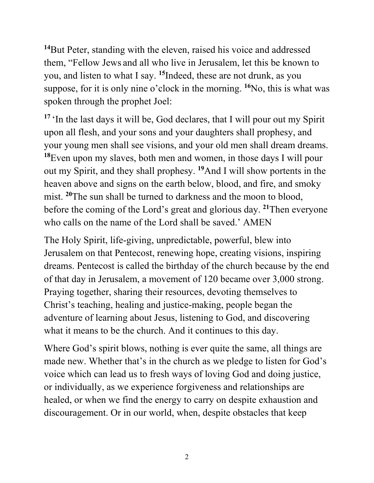**<sup>14</sup>**But Peter, standing with the eleven, raised his voice and addressed them, "Fellow Jews and all who live in Jerusalem, let this be known to you, and listen to what I say. **<sup>15</sup>**Indeed, these are not drunk, as you suppose, for it is only nine o'clock in the morning. **<sup>16</sup>**No, this is what was spoken through the prophet Joel:

<sup>17</sup>'In the last days it will be, God declares, that I will pour out my Spirit upon all flesh, and your sons and your daughters shall prophesy, and your young men shall see visions, and your old men shall dream dreams. **<sup>18</sup>**Even upon my slaves, both men and women, in those days I will pour out my Spirit, and they shall prophesy. **<sup>19</sup>**And I will show portents in the heaven above and signs on the earth below, blood, and fire, and smoky mist. <sup>20</sup>The sun shall be turned to darkness and the moon to blood, before the coming of the Lord's great and glorious day. **<sup>21</sup>**Then everyone who calls on the name of the Lord shall be saved.' AMEN

The Holy Spirit, life-giving, unpredictable, powerful, blew into Jerusalem on that Pentecost, renewing hope, creating visions, inspiring dreams. Pentecost is called the birthday of the church because by the end of that day in Jerusalem, a movement of 120 became over 3,000 strong. Praying together, sharing their resources, devoting themselves to Christ's teaching, healing and justice-making, people began the adventure of learning about Jesus, listening to God, and discovering what it means to be the church. And it continues to this day.

Where God's spirit blows, nothing is ever quite the same, all things are made new. Whether that's in the church as we pledge to listen for God's voice which can lead us to fresh ways of loving God and doing justice, or individually, as we experience forgiveness and relationships are healed, or when we find the energy to carry on despite exhaustion and discouragement. Or in our world, when, despite obstacles that keep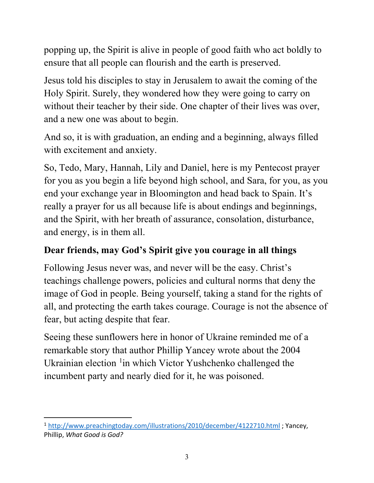popping up, the Spirit is alive in people of good faith who act boldly to ensure that all people can flourish and the earth is preserved.

Jesus told his disciples to stay in Jerusalem to await the coming of the Holy Spirit. Surely, they wondered how they were going to carry on without their teacher by their side. One chapter of their lives was over, and a new one was about to begin.

And so, it is with graduation, an ending and a beginning, always filled with excitement and anxiety.

So, Tedo, Mary, Hannah, Lily and Daniel, here is my Pentecost prayer for you as you begin a life beyond high school, and Sara, for you, as you end your exchange year in Bloomington and head back to Spain. It's really a prayer for us all because life is about endings and beginnings, and the Spirit, with her breath of assurance, consolation, disturbance, and energy, is in them all.

## **Dear friends, may God's Spirit give you courage in all things**

Following Jesus never was, and never will be the easy. Christ's teachings challenge powers, policies and cultural norms that deny the image of God in people. Being yourself, taking a stand for the rights of all, and protecting the earth takes courage. Courage is not the absence of fear, but acting despite that fear.

Seeing these sunflowers here in honor of Ukraine reminded me of a remarkable story that author Phillip Yancey wrote about the 2004 Ukrainian election <sup>[1](#page-2-0)</sup>in which Victor Yushchenko challenged the incumbent party and nearly died for it, he was poisoned.

<span id="page-2-0"></span><sup>1</sup> <http://www.preachingtoday.com/illustrations/2010/december/4122710.html> ; Yancey, Phillip, *What Good is God?*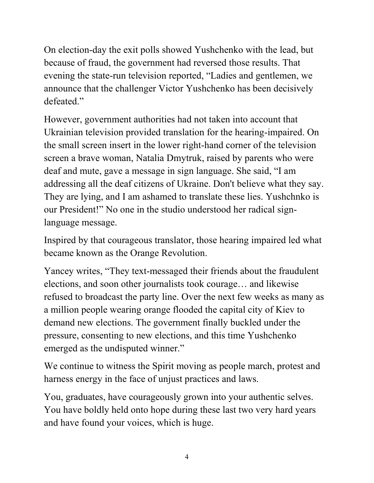On election-day the exit polls showed Yushchenko with the lead, but because of fraud, the government had reversed those results. That evening the state-run television reported, "Ladies and gentlemen, we announce that the challenger Victor Yushchenko has been decisively defeated."

However, government authorities had not taken into account that Ukrainian television provided translation for the hearing-impaired. On the small screen insert in the lower right-hand corner of the television screen a brave woman, Natalia Dmytruk, raised by parents who were deaf and mute, gave a message in sign language. She said, "I am addressing all the deaf citizens of Ukraine. Don't believe what they say. They are lying, and I am ashamed to translate these lies. Yushchnko is our President!" No one in the studio understood her radical signlanguage message.

Inspired by that courageous translator, those hearing impaired led what became known as the Orange Revolution.

Yancey writes, "They text-messaged their friends about the fraudulent elections, and soon other journalists took courage… and likewise refused to broadcast the party line. Over the next few weeks as many as a million people wearing orange flooded the capital city of Kiev to demand new elections. The government finally buckled under the pressure, consenting to new elections, and this time Yushchenko emerged as the undisputed winner."

We continue to witness the Spirit moving as people march, protest and harness energy in the face of unjust practices and laws.

You, graduates, have courageously grown into your authentic selves. You have boldly held onto hope during these last two very hard years and have found your voices, which is huge.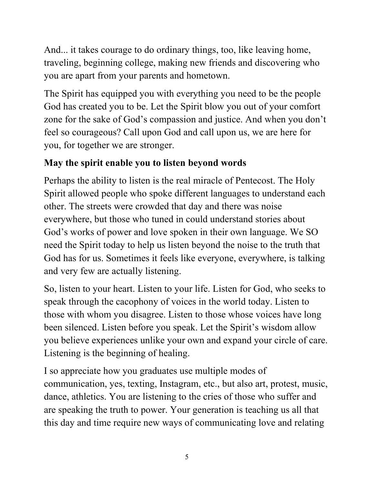And... it takes courage to do ordinary things, too, like leaving home, traveling, beginning college, making new friends and discovering who you are apart from your parents and hometown.

The Spirit has equipped you with everything you need to be the people God has created you to be. Let the Spirit blow you out of your comfort zone for the sake of God's compassion and justice. And when you don't feel so courageous? Call upon God and call upon us, we are here for you, for together we are stronger.

## **May the spirit enable you to listen beyond words**

Perhaps the ability to listen is the real miracle of Pentecost. The Holy Spirit allowed people who spoke different languages to understand each other. The streets were crowded that day and there was noise everywhere, but those who tuned in could understand stories about God's works of power and love spoken in their own language. We SO need the Spirit today to help us listen beyond the noise to the truth that God has for us. Sometimes it feels like everyone, everywhere, is talking and very few are actually listening.

So, listen to your heart. Listen to your life. Listen for God, who seeks to speak through the cacophony of voices in the world today. Listen to those with whom you disagree. Listen to those whose voices have long been silenced. Listen before you speak. Let the Spirit's wisdom allow you believe experiences unlike your own and expand your circle of care. Listening is the beginning of healing.

I so appreciate how you graduates use multiple modes of communication, yes, texting, Instagram, etc., but also art, protest, music, dance, athletics. You are listening to the cries of those who suffer and are speaking the truth to power. Your generation is teaching us all that this day and time require new ways of communicating love and relating